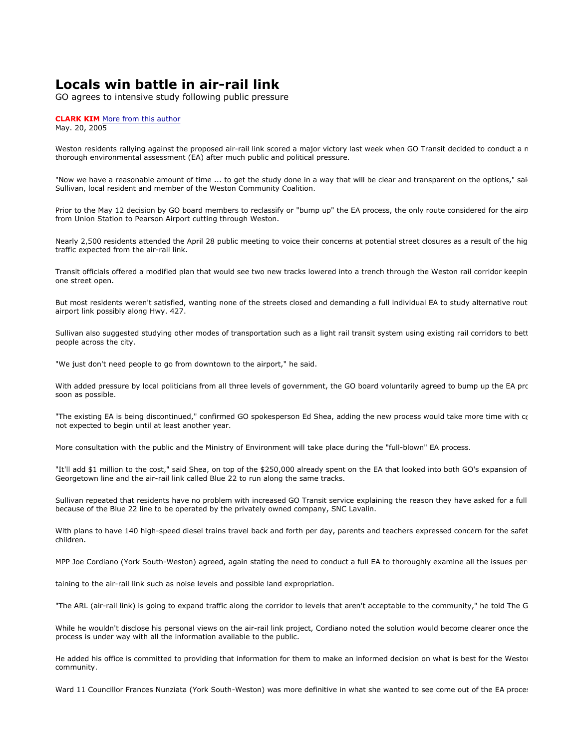## **Locals win battle in air-rail link**

GO agrees to intensive study following public pressure

## **CLARK KIM** More from this author

May. 20, 2005

Weston residents rallying against the proposed air-rail link scored a major victory last week when GO Transit decided to conduct a n thorough environmental assessment (EA) after much public and political pressure.

"Now we have a reasonable amount of time ... to get the study done in a way that will be clear and transparent on the options," sai Sullivan, local resident and member of the Weston Community Coalition.

Prior to the May 12 decision by GO board members to reclassify or "bump up" the EA process, the only route considered for the airp from Union Station to Pearson Airport cutting through Weston.

Nearly 2,500 residents attended the April 28 public meeting to voice their concerns at potential street closures as a result of the hig traffic expected from the air-rail link.

Transit officials offered a modified plan that would see two new tracks lowered into a trench through the Weston rail corridor keepin one street open.

But most residents weren't satisfied, wanting none of the streets closed and demanding a full individual EA to study alternative rout airport link possibly along Hwy. 427.

Sullivan also suggested studying other modes of transportation such as a light rail transit system using existing rail corridors to bett people across the city.

"We just don't need people to go from downtown to the airport," he said.

With added pressure by local politicians from all three levels of government, the GO board voluntarily agreed to bump up the EA pro soon as possible.

"The existing EA is being discontinued," confirmed GO spokesperson Ed Shea, adding the new process would take more time with co not expected to begin until at least another year.

More consultation with the public and the Ministry of Environment will take place during the "full-blown" EA process.

"It'll add \$1 million to the cost," said Shea, on top of the \$250,000 already spent on the EA that looked into both GO's expansion of Georgetown line and the air-rail link called Blue 22 to run along the same tracks.

Sullivan repeated that residents have no problem with increased GO Transit service explaining the reason they have asked for a full because of the Blue 22 line to be operated by the privately owned company, SNC Lavalin.

With plans to have 140 high-speed diesel trains travel back and forth per day, parents and teachers expressed concern for the safet children.

MPP Joe Cordiano (York South-Weston) agreed, again stating the need to conduct a full EA to thoroughly examine all the issues per-

taining to the air-rail link such as noise levels and possible land expropriation.

"The ARL (air-rail link) is going to expand traffic along the corridor to levels that aren't acceptable to the community," he told The G

While he wouldn't disclose his personal views on the air-rail link project, Cordiano noted the solution would become clearer once the process is under way with all the information available to the public.

He added his office is committed to providing that information for them to make an informed decision on what is best for the Westo community.

Ward 11 Councillor Frances Nunziata (York South-Weston) was more definitive in what she wanted to see come out of the EA proces